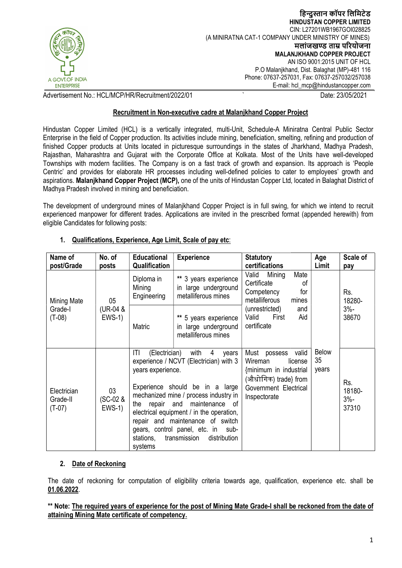

## Recruitment in Non-executive cadre at Malanjkhand Copper Project

| A GOVT.OF INDIA<br><b>ENTERPRISE</b>                                                                                                                                                                                                                                                                                                                                                                                                                                                                                                                                                                                                                                                                                                                                                                                                                                                                                                                                                                                                                                                                                                                                                                             |                                 |                                                                                                                                                                                                                                                                                                                                                                                                               |                                                                                                                                              | (A MINIRATNA CAT-1 COMPANY UNDER MINISTRY OF MINES)<br><b>MALANJKHAND COPPER PROJECT</b><br>P.O Malanjkhand, Dist. Balaghat (MP)-481 116<br>Phone: 07637-257031, Fax: 07637-257032/257038<br>E-mail: hcl_mcp@hindustancopper.com |                             | हिन्दुस्तान कापर लिमिटेड<br><b>HINDUSTAN COPPER LIMITED</b><br>CIN: L27201WB1967GOI028825<br>मलांजखण्ड ताम्र परियोजना<br>AN ISO 9001:2015 UNIT OF HCL |
|------------------------------------------------------------------------------------------------------------------------------------------------------------------------------------------------------------------------------------------------------------------------------------------------------------------------------------------------------------------------------------------------------------------------------------------------------------------------------------------------------------------------------------------------------------------------------------------------------------------------------------------------------------------------------------------------------------------------------------------------------------------------------------------------------------------------------------------------------------------------------------------------------------------------------------------------------------------------------------------------------------------------------------------------------------------------------------------------------------------------------------------------------------------------------------------------------------------|---------------------------------|---------------------------------------------------------------------------------------------------------------------------------------------------------------------------------------------------------------------------------------------------------------------------------------------------------------------------------------------------------------------------------------------------------------|----------------------------------------------------------------------------------------------------------------------------------------------|----------------------------------------------------------------------------------------------------------------------------------------------------------------------------------------------------------------------------------|-----------------------------|-------------------------------------------------------------------------------------------------------------------------------------------------------|
| dvertisement No.: HCL/MCP/HR/Recruitment/2022/01                                                                                                                                                                                                                                                                                                                                                                                                                                                                                                                                                                                                                                                                                                                                                                                                                                                                                                                                                                                                                                                                                                                                                                 |                                 |                                                                                                                                                                                                                                                                                                                                                                                                               |                                                                                                                                              |                                                                                                                                                                                                                                  |                             | Date: 23/05/2021                                                                                                                                      |
|                                                                                                                                                                                                                                                                                                                                                                                                                                                                                                                                                                                                                                                                                                                                                                                                                                                                                                                                                                                                                                                                                                                                                                                                                  |                                 |                                                                                                                                                                                                                                                                                                                                                                                                               | Recruitment in Non-executive cadre at Malanjkhand Copper Project                                                                             |                                                                                                                                                                                                                                  |                             |                                                                                                                                                       |
| lindustan Copper Limited (HCL) is a vertically integrated, multi-Unit, Schedule-A Miniratna Central Public Sector<br>Interprise in the field of Copper production. Its activities include mining, beneficiation, smelting, refining and production of<br>nished Copper products at Units located in picturesque surroundings in the states of Jharkhand, Madhya Pradesh,<br>Rajasthan, Maharashtra and Gujarat with the Corporate Office at Kolkata. Most of the Units have well-developed<br>ownships with modern facilities. The Company is on a fast track of growth and expansion. Its approach is 'People<br>Centric' and provides for elaborate HR processes including well-defined policies to cater to employees' growth and<br>spirations. Malanjkhand Copper Project (MCP), one of the units of Hindustan Copper Ltd, located in Balaghat District of<br>Aadhya Pradesh involved in mining and beneficiation.<br>he development of underground mines of Malanjkhand Copper Project is in full swing, for which we intend to recruit<br>xperienced manpower for different trades. Applications are invited in the prescribed format (appended herewith) from<br>ligible Candidates for following posts: |                                 |                                                                                                                                                                                                                                                                                                                                                                                                               |                                                                                                                                              |                                                                                                                                                                                                                                  |                             |                                                                                                                                                       |
| 1.                                                                                                                                                                                                                                                                                                                                                                                                                                                                                                                                                                                                                                                                                                                                                                                                                                                                                                                                                                                                                                                                                                                                                                                                               |                                 |                                                                                                                                                                                                                                                                                                                                                                                                               | <b>Qualifications, Experience, Age Limit, Scale of pay etc:</b>                                                                              |                                                                                                                                                                                                                                  |                             |                                                                                                                                                       |
| Name of<br>post/Grade                                                                                                                                                                                                                                                                                                                                                                                                                                                                                                                                                                                                                                                                                                                                                                                                                                                                                                                                                                                                                                                                                                                                                                                            | No. of<br>posts                 | <b>Educational</b><br>Qualification                                                                                                                                                                                                                                                                                                                                                                           | <b>Experience</b>                                                                                                                            | <b>Statutory</b><br>certifications                                                                                                                                                                                               | Age<br>Limit                | <b>Scale of</b><br>pay                                                                                                                                |
| <b>Mining Mate</b><br>Grade-I<br>$(T-08)$                                                                                                                                                                                                                                                                                                                                                                                                                                                                                                                                                                                                                                                                                                                                                                                                                                                                                                                                                                                                                                                                                                                                                                        | 05<br>(UR-04 &<br><b>EWS-1)</b> | Diploma in<br>Mining<br>Engineering<br>Matric                                                                                                                                                                                                                                                                                                                                                                 | ** 3 years experience<br>in large underground<br>metalliferous mines<br>** 5 years experience<br>in large underground<br>metalliferous mines | Valid<br>Mining<br>Mate<br>Certificate<br>οf<br>Competency<br>for<br>metalliferous<br>mines<br>(unrestricted)<br>and<br>Valid<br>First<br>Aid<br>certificate                                                                     |                             | Rs.<br>18280-<br>$3% -$<br>38670                                                                                                                      |
| Electrician<br>Grade-II<br>$(T-07)$                                                                                                                                                                                                                                                                                                                                                                                                                                                                                                                                                                                                                                                                                                                                                                                                                                                                                                                                                                                                                                                                                                                                                                              | 03<br>(SC-02 &<br><b>EWS-1)</b> | ΙTΙ<br>(Electrician)<br>with<br>4<br>years<br>experience / NCVT (Electrician) with 3<br>years experience.<br>Experience should be in a large<br>mechanized mine / process industry in<br>the repair<br>and<br>maintenance of<br>electrical equipment / in the operation,<br>repair and maintenance of switch<br>gears, control panel, etc. in<br>sub-<br>distribution<br>stations,<br>transmission<br>systems |                                                                                                                                              | Must possess<br>valid<br>Wireman<br>license<br>{minimum in industrial<br>(औधोगिक) trade} from<br>Government Electrical<br>Inspectorate                                                                                           | <b>Below</b><br>35<br>years | Rs.<br>18180-<br>$3% -$<br>37310                                                                                                                      |
| 2.<br>Date of Reckoning                                                                                                                                                                                                                                                                                                                                                                                                                                                                                                                                                                                                                                                                                                                                                                                                                                                                                                                                                                                                                                                                                                                                                                                          |                                 |                                                                                                                                                                                                                                                                                                                                                                                                               |                                                                                                                                              |                                                                                                                                                                                                                                  |                             |                                                                                                                                                       |
| The date of reckoning for computation of eligibility criteria towards age, qualification, experience etc. shall be<br>01.06.2022.                                                                                                                                                                                                                                                                                                                                                                                                                                                                                                                                                                                                                                                                                                                                                                                                                                                                                                                                                                                                                                                                                |                                 |                                                                                                                                                                                                                                                                                                                                                                                                               |                                                                                                                                              |                                                                                                                                                                                                                                  |                             |                                                                                                                                                       |
| ** Note: The required years of experience for the post of Mining Mate Grade-I shall be reckoned from the date of                                                                                                                                                                                                                                                                                                                                                                                                                                                                                                                                                                                                                                                                                                                                                                                                                                                                                                                                                                                                                                                                                                 |                                 |                                                                                                                                                                                                                                                                                                                                                                                                               |                                                                                                                                              |                                                                                                                                                                                                                                  |                             |                                                                                                                                                       |

#### 1. Qualifications, Experience, Age Limit, Scale of pay etc:

## 2. Date of Reckoning

#### \*\* Note: The required years of experience for the post of Mining Mate Grade-I shall be reckoned from the date of attaining Mining Mate certificate of competency.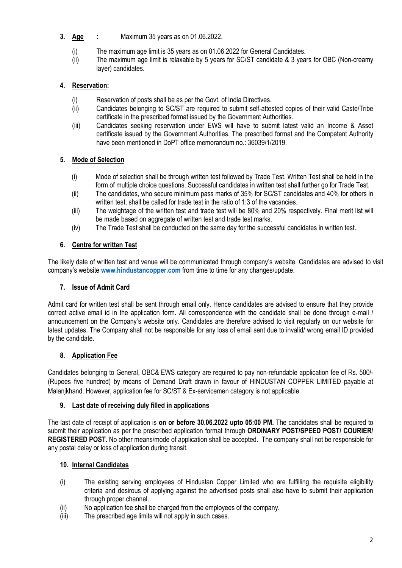- **3.** Age : Maximum 35 years as on 01.06.2022.
	- (i) The maximum age limit is 35 years as on 01.06.2022 for General Candidates.
	- (ii) The maximum age limit is relaxable by 5 years for SC/ST candidate & 3 years for OBC (Non-creamy layer) candidates.

## 4. Reservation:

- (i) Reservation of posts shall be as per the Govt. of India Directives.
- (ii) Candidates belonging to SC/ST are required to submit self-attested copies of their valid Caste/Tribe certificate in the prescribed format issued by the Government Authorities.
- (iii) Candidates seeking reservation under EWS will have to submit latest valid an Income & Asset certificate issued by the Government Authorities. The prescribed format and the Competent Authority have been mentioned in DoPT office memorandum no.: 36039/1/2019.

## 5. Mode of Selection

- (i) Mode of selection shall be through written test followed by Trade Test. Written Test shall be held in the form of multiple choice questions. Successful candidates in written test shall further go for Trade Test.
- (ii) The candidates, who secure minimum pass marks of 35% for SC/ST candidates and 40% for others in written test, shall be called for trade test in the ratio of 1:3 of the vacancies.
- (iii) The weightage of the written test and trade test will be 80% and 20% respectively. Final merit list will be made based on aggregate of written test and trade test marks.
- (iv) The Trade Test shall be conducted on the same day for the successful candidates in written test.

## 6. Centre for written Test

The likely date of written test and venue will be communicated through company's website. Candidates are advised to visit company's website www.hindustancopper.com from time to time for any changes/update.

## 7. Issue of Admit Card

Admit card for written test shall be sent through email only. Hence candidates are advised to ensure that they provide correct active email id in the application form. All correspondence with the candidate shall be done through e-mail / announcement on the Company's website only. Candidates are therefore advised to visit regularly on our website for latest updates. The Company shall not be responsible for any loss of email sent due to invalid/ wrong email ID provided by the candidate.

## 8. Application Fee

Candidates belonging to General, OBC& EWS category are required to pay non-refundable application fee of Rs. 500/- (Rupees five hundred) by means of Demand Draft drawn in favour of HINDUSTAN COPPER LIMITED payable at Malanjkhand. However, application fee for SC/ST & Ex-servicemen category is not applicable.

## 9. Last date of receiving duly filled in applications

The last date of receipt of application is on or before 30.06.2022 upto 05:00 PM. The candidates shall be required to submit their application as per the prescribed application format through ORDINARY POST/SPEED POST/ COURIER/ REGISTERED POST. No other means/mode of application shall be accepted. The company shall not be responsible for any postal delay or loss of application during transit.

## 10. Internal Candidates

- (i) The existing serving employees of Hindustan Copper Limited who are fulfilling the requisite eligibility criteria and desirous of applying against the advertised posts shall also have to submit their application through proper channel.
- (ii) No application fee shall be charged from the employees of the company.
- (iii) The prescribed age limits will not apply in such cases.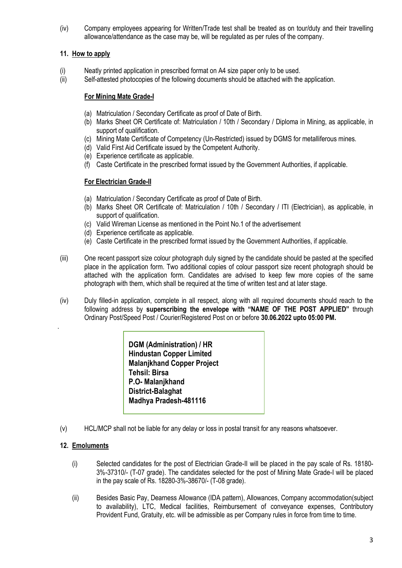(iv) Company employees appearing for Written/Trade test shall be treated as on tour/duty and their travelling allowance/attendance as the case may be, will be regulated as per rules of the company.

#### 11. How to apply

- (i) Neatly printed application in prescribed format on A4 size paper only to be used.
- (ii) Self-attested photocopies of the following documents should be attached with the application.

#### For Mining Mate Grade-I

- (a) Matriculation / Secondary Certificate as proof of Date of Birth.
- (b) Marks Sheet OR Certificate of: Matriculation / 10th / Secondary / Diploma in Mining, as applicable, in support of qualification.
- (c) Mining Mate Certificate of Competency (Un-Restricted) issued by DGMS for metalliferous mines.
- (d) Valid First Aid Certificate issued by the Competent Authority.
- (e) Experience certificate as applicable.
- (f) Caste Certificate in the prescribed format issued by the Government Authorities, if applicable.

#### For Electrician Grade-II

- (a) Matriculation / Secondary Certificate as proof of Date of Birth.
- (b) Marks Sheet OR Certificate of: Matriculation / 10th / Secondary / ITI (Electrician), as applicable, in support of qualification.
- (c) Valid Wireman License as mentioned in the Point No.1 of the advertisement
- (d) Experience certificate as applicable.
- (e) Caste Certificate in the prescribed format issued by the Government Authorities, if applicable.
- (iii) One recent passport size colour photograph duly signed by the candidate should be pasted at the specified place in the application form. Two additional copies of colour passport size recent photograph should be attached with the application form. Candidates are advised to keep few more copies of the same photograph with them, which shall be required at the time of written test and at later stage.
- (iv) Duly filled-in application, complete in all respect, along with all required documents should reach to the following address by superscribing the envelope with "NAME OF THE POST APPLIED" through Ordinary Post/Speed Post / Courier/Registered Post on or before 30.06.2022 upto 05:00 PM.

DGM (Administration) / HR Hindustan Copper Limited Malanjkhand Copper Project Tehsil: Birsa P.O- Malanikhand District-Balaghat Madhya Pradesh-481116

(v) HCL/MCP shall not be liable for any delay or loss in postal transit for any reasons whatsoever.

#### 12. Emoluments

.

- (i) Selected candidates for the post of Electrician Grade-II will be placed in the pay scale of Rs. 18180- 3%-37310/- (T-07 grade). The candidates selected for the post of Mining Mate Grade-I will be placed in the pay scale of Rs. 18280-3%-38670/- (T-08 grade).
- (ii) Besides Basic Pay, Dearness Allowance (IDA pattern), Allowances, Company accommodation(subject to availability), LTC, Medical facilities, Reimbursement of conveyance expenses, Contributory Provident Fund, Gratuity, etc. will be admissible as per Company rules in force from time to time.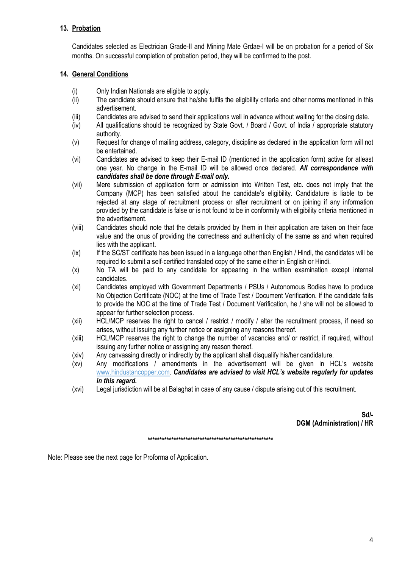## 13. Probation

Candidates selected as Electrician Grade-II and Mining Mate Grdae-I will be on probation for a period of Six months. On successful completion of probation period, they will be confirmed to the post.

#### 14. General Conditions

- (i) Only Indian Nationals are eligible to apply.
- (ii) The candidate should ensure that he/she fulfils the eligibility criteria and other norms mentioned in this advertisement.
- (iii) Candidates are advised to send their applications well in advance without waiting for the closing date.
- (iv) All qualifications should be recognized by State Govt. / Board / Govt. of India / appropriate statutory authority.
- (v) Request for change of mailing address, category, discipline as declared in the application form will not be entertained.
- (vi) Candidates are advised to keep their E-mail ID (mentioned in the application form) active for atleast one year. No change in the E-mail ID will be allowed once declared. All correspondence with candidates shall be done through E-mail only.
- (vii) Mere submission of application form or admission into Written Test, etc. does not imply that the Company (MCP) has been satisfied about the candidate's eligibility. Candidature is liable to be rejected at any stage of recruitment process or after recruitment or on joining if any information provided by the candidate is false or is not found to be in conformity with eligibility criteria mentioned in the advertisement.
- (viii) Candidates should note that the details provided by them in their application are taken on their face value and the onus of providing the correctness and authenticity of the same as and when required lies with the applicant.
- (ix) If the SC/ST certificate has been issued in a language other than English / Hindi, the candidates will be required to submit a self-certified translated copy of the same either in English or Hindi.
- (x) No TA will be paid to any candidate for appearing in the written examination except internal candidates.
- (xi) Candidates employed with Government Departments / PSUs / Autonomous Bodies have to produce No Objection Certificate (NOC) at the time of Trade Test / Document Verification. If the candidate fails to provide the NOC at the time of Trade Test / Document Verification, he / she will not be allowed to appear for further selection process.
- (xii) HCL/MCP reserves the right to cancel / restrict / modify / alter the recruitment process, if need so arises, without issuing any further notice or assigning any reasons thereof.
- (xiii) HCL/MCP reserves the right to change the number of vacancies and/ or restrict, if required, without issuing any further notice or assigning any reason thereof.
- (xiv) Any canvassing directly or indirectly by the applicant shall disqualify his/her candidature.
- (xv) Any modifications / amendments in the advertisement will be given in HCL's website www.hindustancopper.com. Candidates are advised to visit HCL's website regularly for updates in this regard.
- (xvi) Legal jurisdiction will be at Balaghat in case of any cause / dispute arising out of this recruitment.

Sd/- DGM (Administration) / HR

\*\*\*\*\*\*\*\*\*\*\*\*\*\*\*\*\*\*\*\*\*\*\*\*\*\*\*\*\*\*\*\*\*\*\*\*\*\*\*\*\*\*\*\*\*\*\*\*\*\*\*\*\*

Note: Please see the next page for Proforma of Application.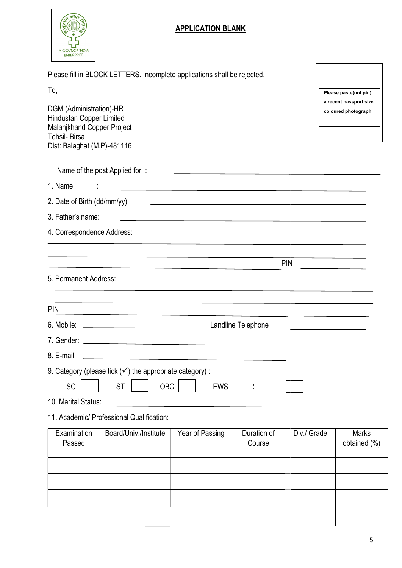

# APPLICATION BLANK

| Please fill in BLOCK LETTERS. Incomplete applications shall be rejected. |  |  |
|--------------------------------------------------------------------------|--|--|
|                                                                          |  |  |

| I<br>٠<br>× |  |
|-------------|--|
|             |  |

| ιυ,                                                                                                                                     |                                                                                 |                                                                                                                       |                       |             | Please paste(not pin)                         |
|-----------------------------------------------------------------------------------------------------------------------------------------|---------------------------------------------------------------------------------|-----------------------------------------------------------------------------------------------------------------------|-----------------------|-------------|-----------------------------------------------|
| DGM (Administration)-HR<br>Hindustan Copper Limited<br>Malanjkhand Copper Project<br><b>Tehsil-Birsa</b><br>Dist: Balaghat (M.P)-481116 |                                                                                 |                                                                                                                       |                       |             | a recent passport size<br>coloured photograph |
|                                                                                                                                         | Name of the post Applied for:                                                   |                                                                                                                       |                       |             |                                               |
| 1. Name                                                                                                                                 |                                                                                 | <u> 1989 - Johann Stoff, deutscher Stoff, der Stoff, der Stoff, der Stoff, der Stoff, der Stoff, der Stoff, der S</u> |                       |             |                                               |
| 2. Date of Birth (dd/mm/yy)                                                                                                             |                                                                                 | <u> 1989 - Johann John Stone, marking fan de Amerikaanske kommunister fan de Amerikaanske kommunister fan de Frys</u> |                       |             |                                               |
| 3. Father's name:                                                                                                                       |                                                                                 | <u> 1980 - John Barnett, fransk politiker (d. 1980)</u>                                                               |                       |             |                                               |
| 4. Correspondence Address:                                                                                                              |                                                                                 |                                                                                                                       |                       |             |                                               |
|                                                                                                                                         |                                                                                 |                                                                                                                       |                       |             |                                               |
|                                                                                                                                         |                                                                                 |                                                                                                                       |                       | <b>PIN</b>  |                                               |
| 5. Permanent Address:                                                                                                                   |                                                                                 |                                                                                                                       |                       |             |                                               |
|                                                                                                                                         |                                                                                 |                                                                                                                       |                       |             |                                               |
| <b>PIN</b>                                                                                                                              | the contract of the contract of the contract of the contract of the contract of |                                                                                                                       |                       |             |                                               |
| 6. Mobile:                                                                                                                              |                                                                                 |                                                                                                                       | Landline Telephone    |             |                                               |
|                                                                                                                                         |                                                                                 |                                                                                                                       |                       |             |                                               |
| 8. E-mail:                                                                                                                              | <u> 1989 - Johann John Stone, markin fizik eta idazlea (</u>                    |                                                                                                                       |                       |             |                                               |
|                                                                                                                                         | 9. Category (please tick $(\checkmark)$ the appropriate category):              |                                                                                                                       |                       |             |                                               |
| SC                                                                                                                                      | OBC<br><b>ST</b>                                                                | <b>EWS</b>                                                                                                            |                       |             |                                               |
| 10. Marital Status:                                                                                                                     | and the control of the control of                                               |                                                                                                                       |                       |             |                                               |
|                                                                                                                                         | 11. Academic/ Professional Qualification:                                       |                                                                                                                       |                       |             |                                               |
| Examination<br>Passed                                                                                                                   | Board/Univ./Institute                                                           | Year of Passing                                                                                                       | Duration of<br>Course | Div./ Grade | <b>Marks</b><br>obtained (%)                  |
|                                                                                                                                         |                                                                                 |                                                                                                                       |                       |             |                                               |
|                                                                                                                                         |                                                                                 |                                                                                                                       |                       |             |                                               |
|                                                                                                                                         |                                                                                 |                                                                                                                       |                       |             |                                               |
|                                                                                                                                         |                                                                                 |                                                                                                                       |                       |             |                                               |
|                                                                                                                                         |                                                                                 |                                                                                                                       |                       |             |                                               |